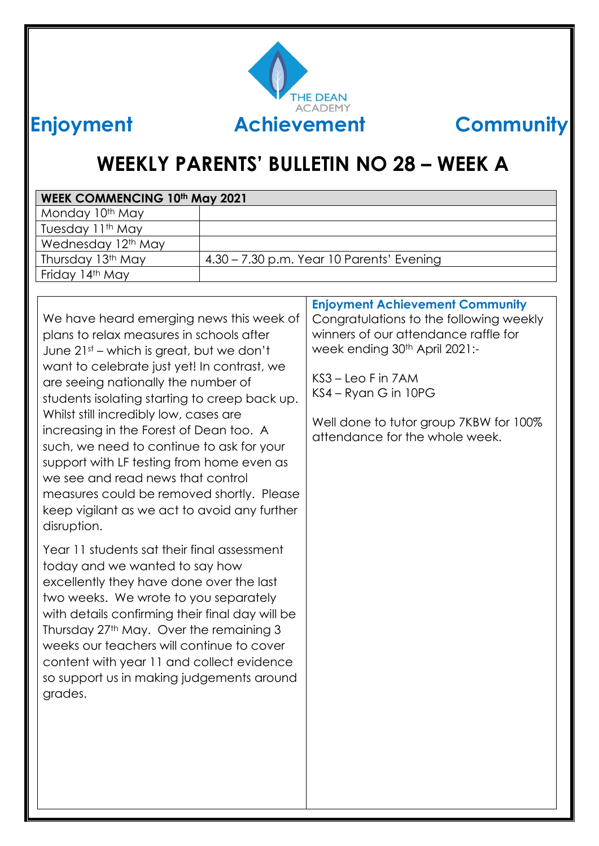

# **WEEKLY PARENTS' BULLETIN NO 28 – WEEK A**

| <b>WEEK COMMENCING 10th May 2021</b>                                                                                                                                                                                                                                                                                                                                                                                                                                                                                                                                                                    |                                                                                                                                                                                                                                                                                                  |  |
|---------------------------------------------------------------------------------------------------------------------------------------------------------------------------------------------------------------------------------------------------------------------------------------------------------------------------------------------------------------------------------------------------------------------------------------------------------------------------------------------------------------------------------------------------------------------------------------------------------|--------------------------------------------------------------------------------------------------------------------------------------------------------------------------------------------------------------------------------------------------------------------------------------------------|--|
| Monday 10th May                                                                                                                                                                                                                                                                                                                                                                                                                                                                                                                                                                                         |                                                                                                                                                                                                                                                                                                  |  |
| Tuesday 11th May                                                                                                                                                                                                                                                                                                                                                                                                                                                                                                                                                                                        |                                                                                                                                                                                                                                                                                                  |  |
| Wednesday 12 <sup>th</sup> May                                                                                                                                                                                                                                                                                                                                                                                                                                                                                                                                                                          |                                                                                                                                                                                                                                                                                                  |  |
| Thursday 13th May                                                                                                                                                                                                                                                                                                                                                                                                                                                                                                                                                                                       | 4.30 - 7.30 p.m. Year 10 Parents' Evening                                                                                                                                                                                                                                                        |  |
| Friday 14th May                                                                                                                                                                                                                                                                                                                                                                                                                                                                                                                                                                                         |                                                                                                                                                                                                                                                                                                  |  |
|                                                                                                                                                                                                                                                                                                                                                                                                                                                                                                                                                                                                         |                                                                                                                                                                                                                                                                                                  |  |
| We have heard emerging news this week of<br>plans to relax measures in schools after<br>June 21st – which is great, but we don't<br>want to celebrate just yet! In contrast, we<br>are seeing nationally the number of<br>students isolating starting to creep back up.<br>Whilst still incredibly low, cases are<br>increasing in the Forest of Dean too. A<br>such, we need to continue to ask for your<br>support with LF testing from home even as<br>we see and read news that control<br>measures could be removed shortly. Please<br>keep vigilant as we act to avoid any further<br>disruption. | <b>Enjoyment Achievement Community</b><br>Congratulations to the following weekly<br>winners of our attendance raffle for<br>week ending 30 <sup>th</sup> April 2021:-<br>KS3 – Leo F in 7AM<br>KS4 – Ryan G in 10PG<br>Well done to tutor group 7KBW for 100%<br>attendance for the whole week. |  |
| Year 11 students sat their final assessment<br>today and we wanted to say how<br>excellently they have done over the last<br>two weeks. We wrote to you separately<br>with details confirming their final day will be<br>Thursday 27th May. Over the remaining 3<br>weeks our teachers will continue to cover<br>content with year 11 and collect evidence<br>so support us in making judgements around<br>grades.                                                                                                                                                                                      |                                                                                                                                                                                                                                                                                                  |  |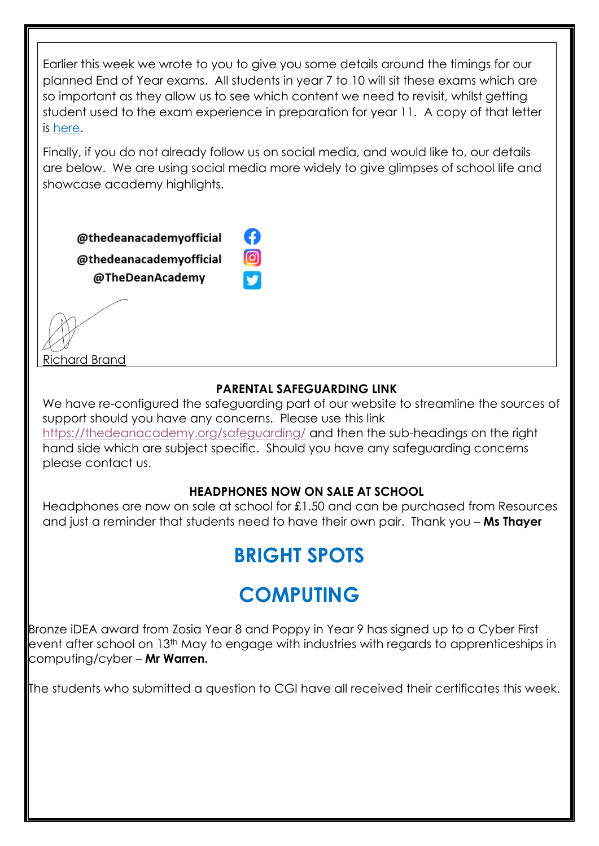Earlier this week we wrote to you to give you some details around the timings for our planned End of Year exams. All students in year 7 to 10 will sit these exams which are so important as they allow us to see which content we need to revisit, whilst getting student used to the exam experience in preparation for year 11. A copy of that letter is [here.](https://thedeanacademy.org/2021/05/06/end-of-year-formal-assessment-letters-2021/)

Finally, if you do not already follow us on social media, and would like to, our details are below. We are using social media more widely to give glimpses of school life and showcase academy highlights.

A

 $\circledcirc$ 

@thedeanacademyofficial

@thedeanacademvofficial @TheDeanAcademy

Richard Brand

### **PARENTAL SAFEGUARDING LINK**

We have re-configured the safeguarding part of our website to streamline the sources of support should you have any concerns. Please use this link <https://thedeanacademy.org/safeguarding/> and then the sub-headings on the right

hand side which are subject specific. Should you have any safeguarding concerns please contact us.

### **HEADPHONES NOW ON SALE AT SCHOOL**

Headphones are now on sale at school for £1.50 and can be purchased from Resources and just a reminder that students need to have their own pair. Thank you – **Ms Thayer**

# **BRIGHT SPOTS**

# **COMPUTING**

Bronze iDEA award from Zosia Year 8 and Poppy in Year 9 has signed up to a Cyber First event after school on 13th May to engage with industries with regards to apprenticeships in computing/cyber – **Mr Warren.**

The students who submitted a question to CGI have all received their certificates this week.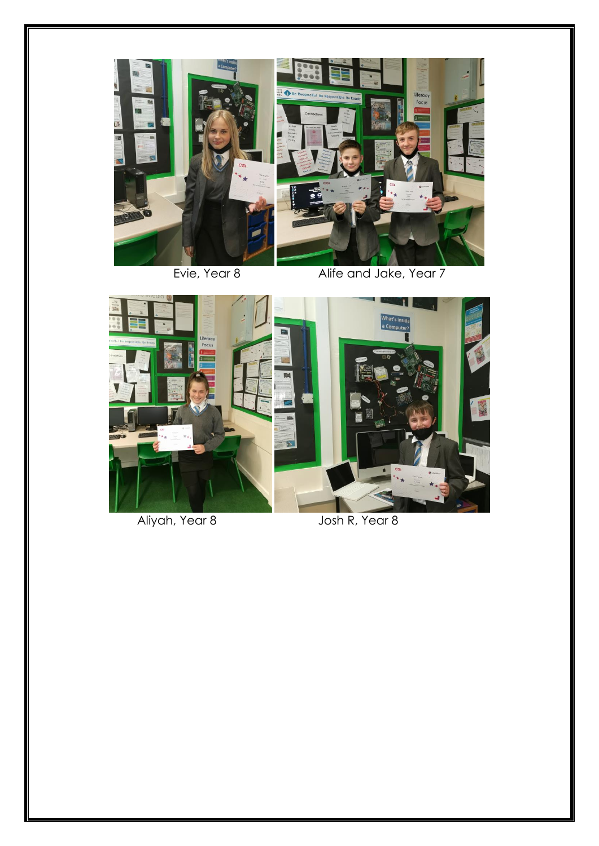

Evie, Year 8 Alife and Jake, Year 7



Aliyah, Year 8 Josh R, Year 8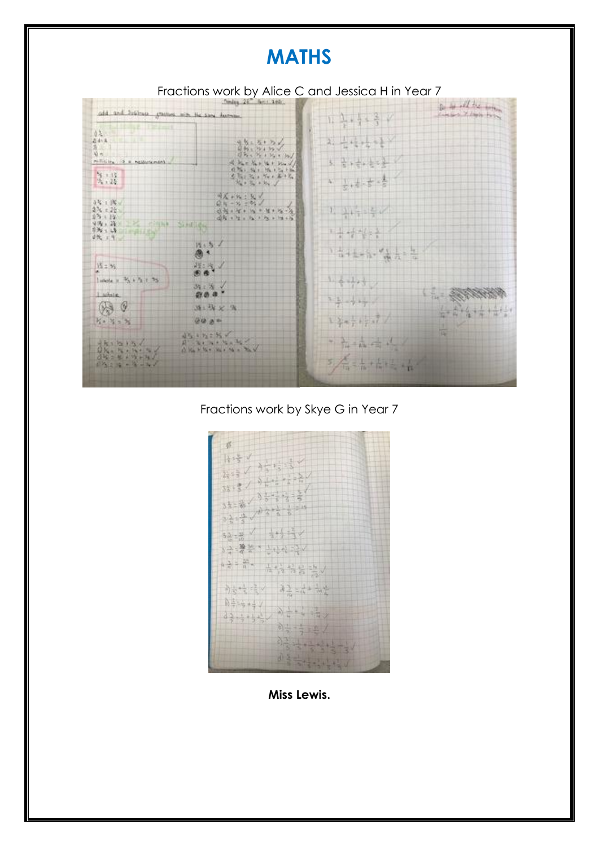## **MATHS**



Fractions work by Skye G in Year 7



**Miss Lewis.**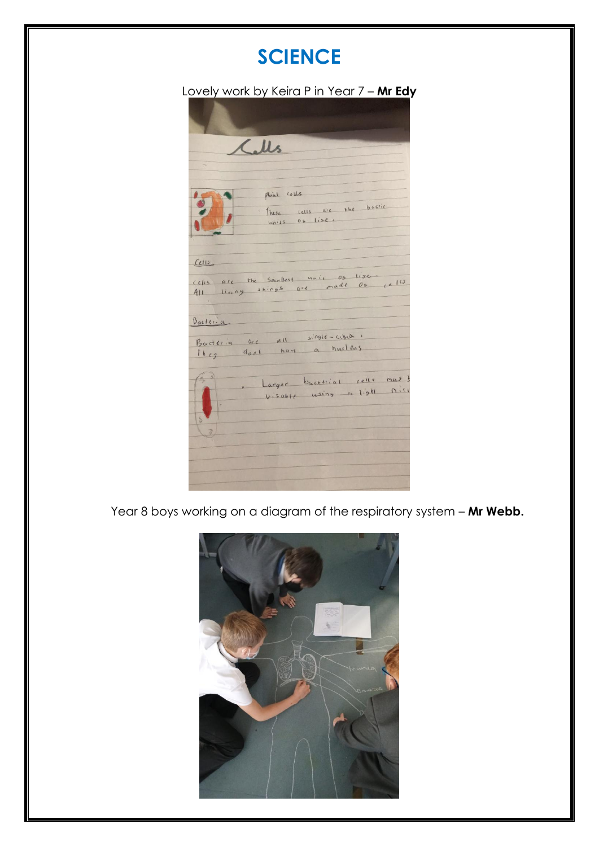## **SCIENCE**

#### Lovely work by Keira P in Year 7 – **Mr Edy**



Year 8 boys working on a diagram of the respiratory system – **Mr Webb.**

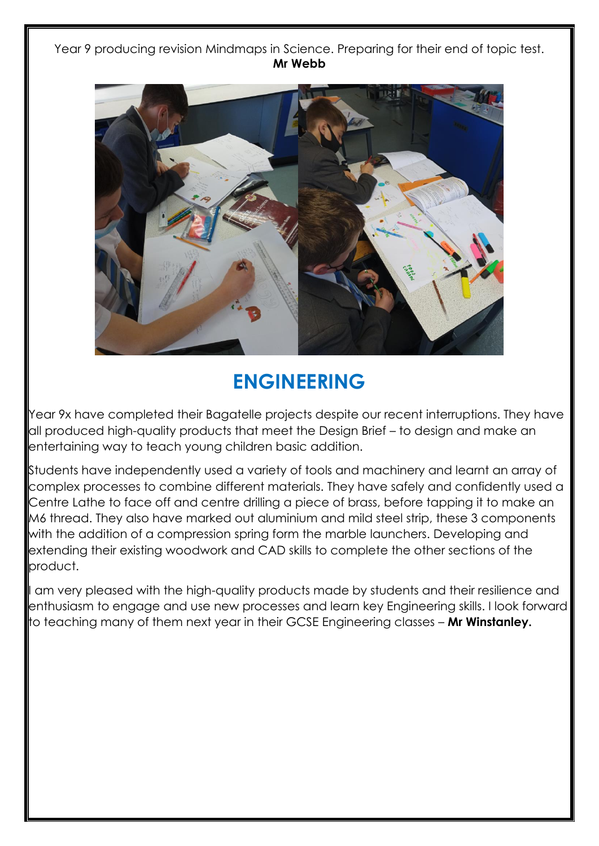Year 9 producing revision Mindmaps in Science. Preparing for their end of topic test. **Mr Webb**



# **ENGINEERING**

Year 9x have completed their Bagatelle projects despite our recent interruptions. They have all produced high-quality products that meet the Design Brief – to design and make an entertaining way to teach young children basic addition.

Students have independently used a variety of tools and machinery and learnt an array of complex processes to combine different materials. They have safely and confidently used a Centre Lathe to face off and centre drilling a piece of brass, before tapping it to make an M6 thread. They also have marked out aluminium and mild steel strip, these 3 components with the addition of a compression spring form the marble launchers. Developing and extending their existing woodwork and CAD skills to complete the other sections of the product.

I am very pleased with the high-quality products made by students and their resilience and enthusiasm to engage and use new processes and learn key Engineering skills. I look forward to teaching many of them next year in their GCSE Engineering classes – **Mr Winstanley.**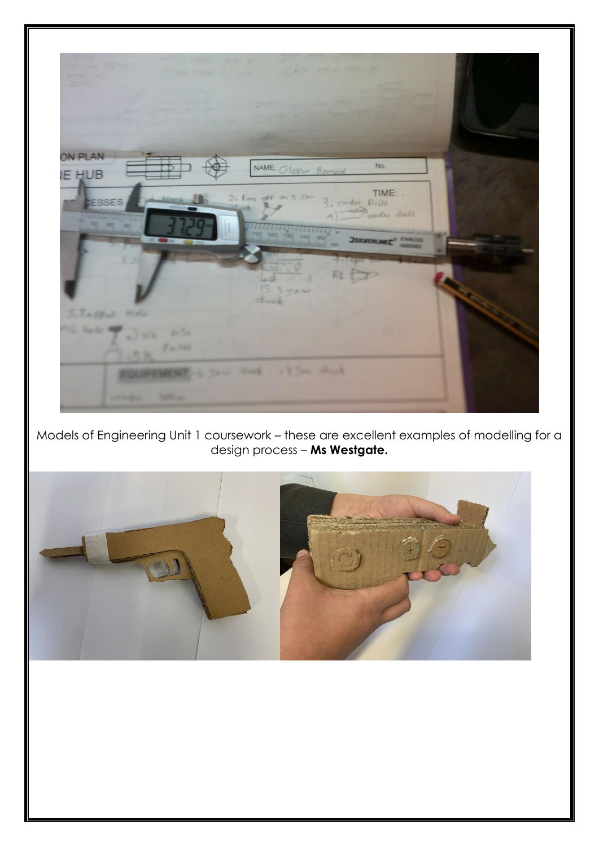

Models of Engineering Unit 1 coursework – these are excellent examples of modelling for a design process – **Ms Westgate.**

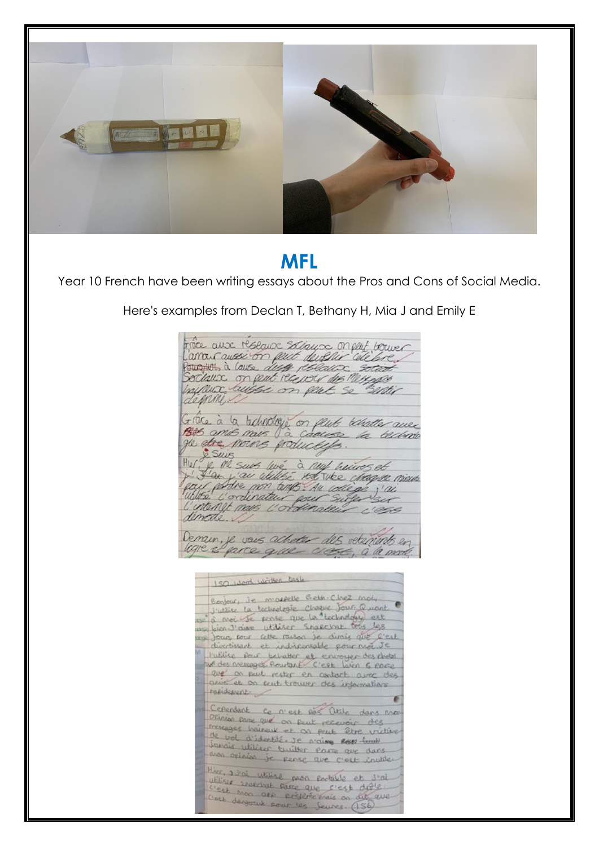

## **MFL**

Year 10 French have been writing essays about the Pros and Cons of Social Media.

Here's examples from Declan T, Bethany H, Mia J and Emily E

frace anx researce sollaws on part bower Larrous aussion pact develir celebre Pour in a lause dust policient social haipeux buisse on peut se rentir Grace à la beludaje on plute behatter avec ge de noirs pouceds. ge de nous polucies.<br>Hul y M suis lué à nuj huives et<br>Hul y M suis lué à nuj huives et<br>pau pour pour tous nu colège j'ai<br>luttrée l'ordinateur pour sufer sur demode. Demain, je vous acheter des vetenints en ligne es parce que cross, à la mode

ISO word written task Benjour, ie morrelle Gelle-Chez mot,  $\frac{6 \text{cm} \cdot \text{cm} \cdot \text{cm}}{3! \text{cm} \cdot \text{cm} \cdot \text{cm} \cdot \text{cm} \cdot \text{cm} \cdot \text{cm} \cdot \text{cm} \cdot \text{cm} \cdot \text{cm} \cdot \text{cm} \cdot \text{cm} \cdot \text{cm} \cdot \text{cm} \cdot \text{cm} \cdot \text{cm} \cdot \text{cm} \cdot \text{cm} \cdot \text{cm} \cdot \text{cm} \cdot \text{cm} \cdot \text{cm} \cdot \text{cm} \cdot \text{cm} \cdot \text{cm} \cdot \text{cm} \cdot \text{cm} \cdot \text{cm} \cdot \text{cm}$ w a moi je pense que la technology est me bien J'aime utiliser Snakesnat tels les divertissant et indiscensable pour moi Je l'utilise pour behaver et envoyer des chotel are on put rester en contact arec des print et on cent trouver des informations. racidement Ceperdant co n'est pas Otile dans mon Official pare que on peut recevoir des presence being et on put être victime the vol interest of a point offer viol travais utilizer twitter para que dans was apinion je pense que que vars ther, admi utilize prog portable et s'al.<br>While searchal program utiliser searchast papa portable et s'ai west more are are rest drive. were degreed pour les jeunes. (156)